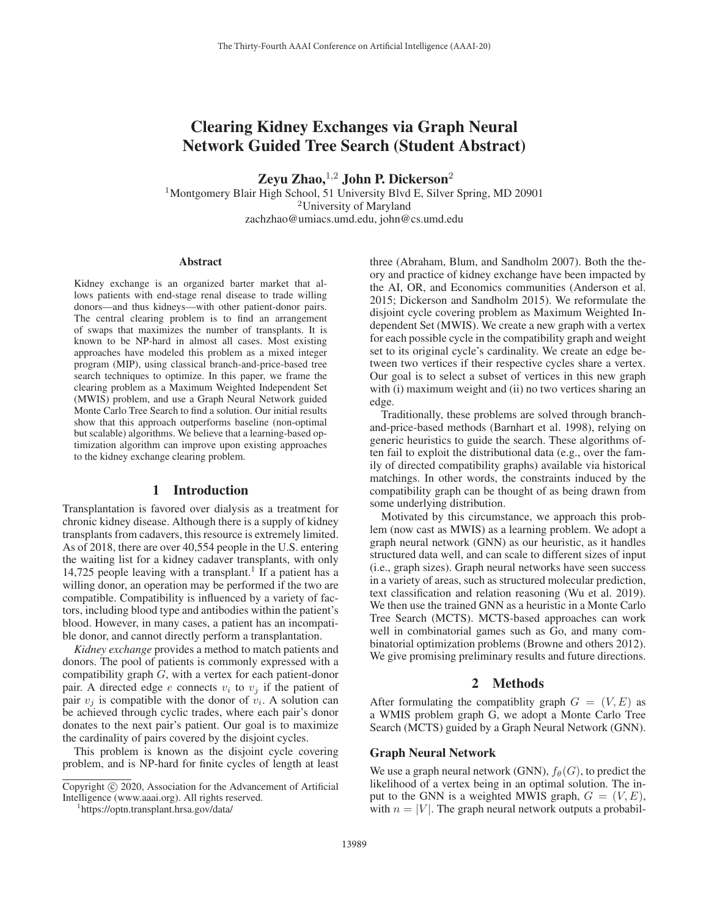# Clearing Kidney Exchanges via Graph Neural Network Guided Tree Search (Student Abstract)

Zeyu Zhao, $^{1,2}$  John P. Dickerson<sup>2</sup> <sup>1</sup>Montgomery Blair High School, 51 University Blvd E, Silver Spring, MD 20901

<sup>2</sup>University of Maryland

zachzhao@umiacs.umd.edu, john@cs.umd.edu

#### Abstract

Kidney exchange is an organized barter market that allows patients with end-stage renal disease to trade willing donors—and thus kidneys—with other patient-donor pairs. The central clearing problem is to find an arrangement of swaps that maximizes the number of transplants. It is known to be NP-hard in almost all cases. Most existing approaches have modeled this problem as a mixed integer program (MIP), using classical branch-and-price-based tree search techniques to optimize. In this paper, we frame the clearing problem as a Maximum Weighted Independent Set (MWIS) problem, and use a Graph Neural Network guided Monte Carlo Tree Search to find a solution. Our initial results show that this approach outperforms baseline (non-optimal but scalable) algorithms. We believe that a learning-based optimization algorithm can improve upon existing approaches to the kidney exchange clearing problem.

## 1 Introduction

Transplantation is favored over dialysis as a treatment for chronic kidney disease. Although there is a supply of kidney transplants from cadavers, this resource is extremely limited. As of 2018, there are over 40,554 people in the U.S. entering the waiting list for a kidney cadaver transplants, with only 14,725 people leaving with a transplant.<sup>1</sup> If a patient has a willing donor, an operation may be performed if the two are compatible. Compatibility is influenced by a variety of factors, including blood type and antibodies within the patient's blood. However, in many cases, a patient has an incompatible donor, and cannot directly perform a transplantation.

*Kidney exchange* provides a method to match patients and donors. The pool of patients is commonly expressed with a compatibility graph  $G$ , with a vertex for each patient-donor pair. A directed edge e connects  $v_i$  to  $v_j$  if the patient of pair  $v_i$  is compatible with the donor of  $v_i$ . A solution can be achieved through cyclic trades, where each pair's donor donates to the next pair's patient. Our goal is to maximize the cardinality of pairs covered by the disjoint cycles.

This problem is known as the disjoint cycle covering problem, and is NP-hard for finite cycles of length at least

https://optn.transplant.hrsa.gov/data/

three (Abraham, Blum, and Sandholm 2007). Both the theory and practice of kidney exchange have been impacted by the AI, OR, and Economics communities (Anderson et al. 2015; Dickerson and Sandholm 2015). We reformulate the disjoint cycle covering problem as Maximum Weighted Independent Set (MWIS). We create a new graph with a vertex for each possible cycle in the compatibility graph and weight set to its original cycle's cardinality. We create an edge between two vertices if their respective cycles share a vertex. Our goal is to select a subset of vertices in this new graph with (i) maximum weight and (ii) no two vertices sharing an edge.

Traditionally, these problems are solved through branchand-price-based methods (Barnhart et al. 1998), relying on generic heuristics to guide the search. These algorithms often fail to exploit the distributional data (e.g., over the family of directed compatibility graphs) available via historical matchings. In other words, the constraints induced by the compatibility graph can be thought of as being drawn from some underlying distribution.

Motivated by this circumstance, we approach this problem (now cast as MWIS) as a learning problem. We adopt a graph neural network (GNN) as our heuristic, as it handles structured data well, and can scale to different sizes of input (i.e., graph sizes). Graph neural networks have seen success in a variety of areas, such as structured molecular prediction, text classification and relation reasoning (Wu et al. 2019). We then use the trained GNN as a heuristic in a Monte Carlo Tree Search (MCTS). MCTS-based approaches can work well in combinatorial games such as Go, and many combinatorial optimization problems (Browne and others 2012). We give promising preliminary results and future directions.

## 2 Methods

After formulating the compatiblity graph  $G = (V, E)$  as a WMIS problem graph G, we adopt a Monte Carlo Tree Search (MCTS) guided by a Graph Neural Network (GNN).

### Graph Neural Network

We use a graph neural network (GNN),  $f_{\theta}(G)$ , to predict the likelihood of a vertex being in an optimal solution. The input to the GNN is a weighted MWIS graph,  $G = (V, E)$ , with  $n = |V|$ . The graph neural network outputs a probabil-

Copyright  $\odot$  2020, Association for the Advancement of Artificial Intelligence (www.aaai.org). All rights reserved.